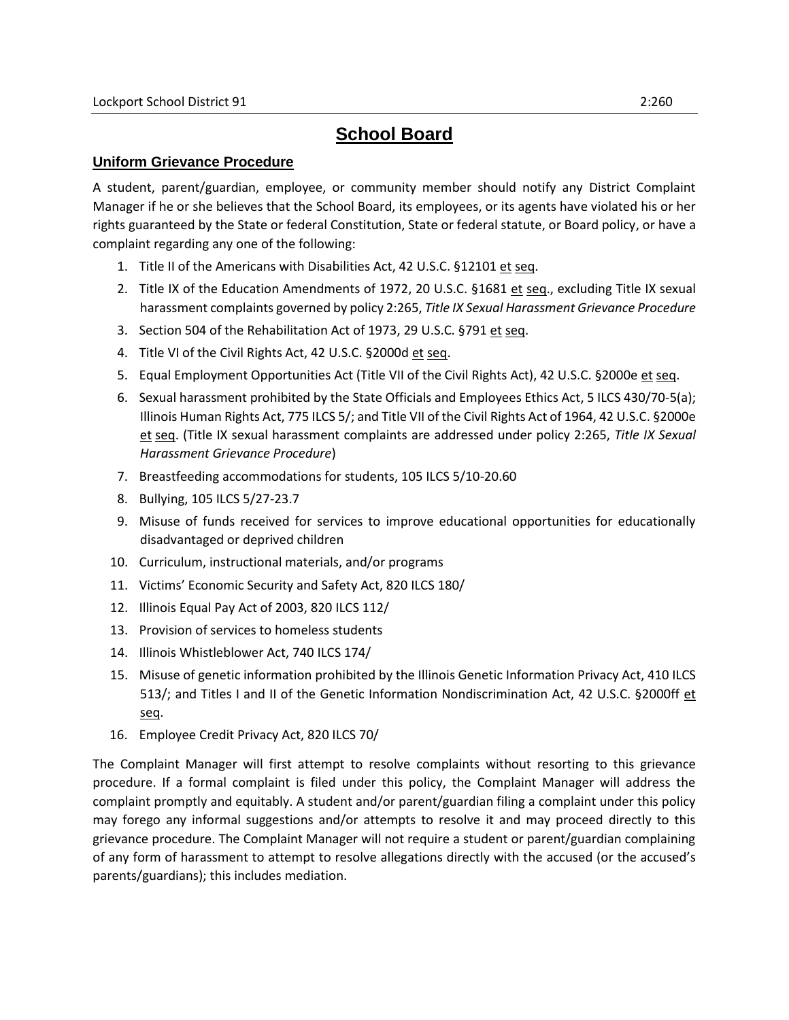# **School Board**

### **Uniform Grievance Procedure**

A student, parent/guardian, employee, or community member should notify any District Complaint Manager if he or she believes that the School Board, its employees, or its agents have violated his or her rights guaranteed by the State or federal Constitution, State or federal statute, or Board policy, or have a complaint regarding any one of the following:

- 1. Title II of the Americans with Disabilities Act, 42 U.S.C. §12101 et seq.
- 2. Title IX of the Education Amendments of 1972, 20 U.S.C. §1681 et seq., excluding Title IX sexual harassment complaints governed by policy 2:265, *Title IX Sexual Harassment Grievance Procedure*
- 3. Section 504 of the Rehabilitation Act of 1973, 29 U.S.C. §791 et seq.
- 4. Title VI of the Civil Rights Act, 42 U.S.C. §2000d et seq.
- 5. Equal Employment Opportunities Act (Title VII of the Civil Rights Act), 42 U.S.C. §2000e et seq.
- 6. Sexual harassment prohibited by the State Officials and Employees Ethics Act, 5 ILCS 430/70-5(a); Illinois Human Rights Act, 775 ILCS 5/; and Title VII of the Civil Rights Act of 1964, 42 U.S.C. §2000e et seq. (Title IX sexual harassment complaints are addressed under policy 2:265, *Title IX Sexual Harassment Grievance Procedure*)
- 7. Breastfeeding accommodations for students, 105 ILCS 5/10-20.60
- 8. Bullying, 105 ILCS 5/27-23.7
- 9. Misuse of funds received for services to improve educational opportunities for educationally disadvantaged or deprived children
- 10. Curriculum, instructional materials, and/or programs
- 11. Victims' Economic Security and Safety Act, 820 ILCS 180/
- 12. Illinois Equal Pay Act of 2003, 820 ILCS 112/
- 13. Provision of services to homeless students
- 14. Illinois Whistleblower Act, 740 ILCS 174/
- 15. Misuse of genetic information prohibited by the Illinois Genetic Information Privacy Act, 410 ILCS 513/; and Titles I and II of the Genetic Information Nondiscrimination Act, 42 U.S.C. §2000ff et seq.
- 16. Employee Credit Privacy Act, 820 ILCS 70/

The Complaint Manager will first attempt to resolve complaints without resorting to this grievance procedure. If a formal complaint is filed under this policy, the Complaint Manager will address the complaint promptly and equitably. A student and/or parent/guardian filing a complaint under this policy may forego any informal suggestions and/or attempts to resolve it and may proceed directly to this grievance procedure. The Complaint Manager will not require a student or parent/guardian complaining of any form of harassment to attempt to resolve allegations directly with the accused (or the accused's parents/guardians); this includes mediation.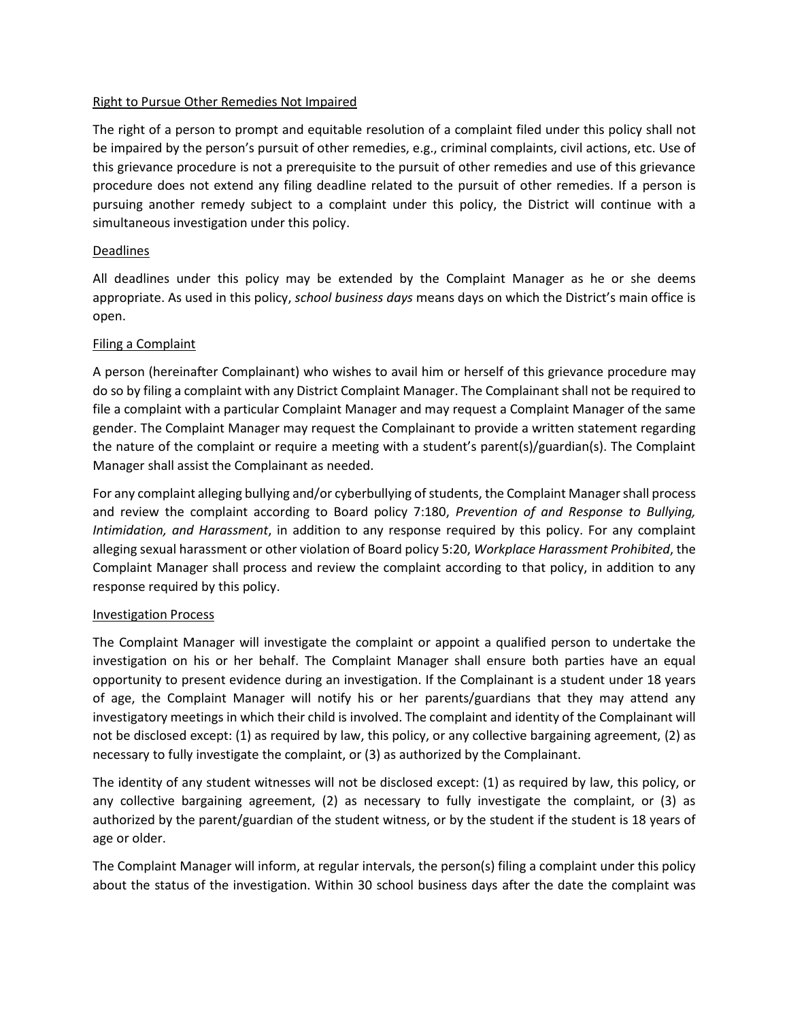#### Right to Pursue Other Remedies Not Impaired

The right of a person to prompt and equitable resolution of a complaint filed under this policy shall not be impaired by the person's pursuit of other remedies, e.g., criminal complaints, civil actions, etc. Use of this grievance procedure is not a prerequisite to the pursuit of other remedies and use of this grievance procedure does not extend any filing deadline related to the pursuit of other remedies. If a person is pursuing another remedy subject to a complaint under this policy, the District will continue with a simultaneous investigation under this policy.

#### Deadlines

All deadlines under this policy may be extended by the Complaint Manager as he or she deems appropriate. As used in this policy, *school business days* means days on which the District's main office is open.

#### Filing a Complaint

A person (hereinafter Complainant) who wishes to avail him or herself of this grievance procedure may do so by filing a complaint with any District Complaint Manager. The Complainant shall not be required to file a complaint with a particular Complaint Manager and may request a Complaint Manager of the same gender. The Complaint Manager may request the Complainant to provide a written statement regarding the nature of the complaint or require a meeting with a student's parent(s)/guardian(s). The Complaint Manager shall assist the Complainant as needed.

For any complaint alleging bullying and/or cyberbullying of students, the Complaint Manager shall process and review the complaint according to Board policy 7:180, *Prevention of and Response to Bullying, Intimidation, and Harassment*, in addition to any response required by this policy. For any complaint alleging sexual harassment or other violation of Board policy 5:20, *Workplace Harassment Prohibited*, the Complaint Manager shall process and review the complaint according to that policy, in addition to any response required by this policy.

#### Investigation Process

The Complaint Manager will investigate the complaint or appoint a qualified person to undertake the investigation on his or her behalf. The Complaint Manager shall ensure both parties have an equal opportunity to present evidence during an investigation. If the Complainant is a student under 18 years of age, the Complaint Manager will notify his or her parents/guardians that they may attend any investigatory meetings in which their child is involved. The complaint and identity of the Complainant will not be disclosed except: (1) as required by law, this policy, or any collective bargaining agreement, (2) as necessary to fully investigate the complaint, or (3) as authorized by the Complainant.

The identity of any student witnesses will not be disclosed except: (1) as required by law, this policy, or any collective bargaining agreement, (2) as necessary to fully investigate the complaint, or (3) as authorized by the parent/guardian of the student witness, or by the student if the student is 18 years of age or older.

The Complaint Manager will inform, at regular intervals, the person(s) filing a complaint under this policy about the status of the investigation. Within 30 school business days after the date the complaint was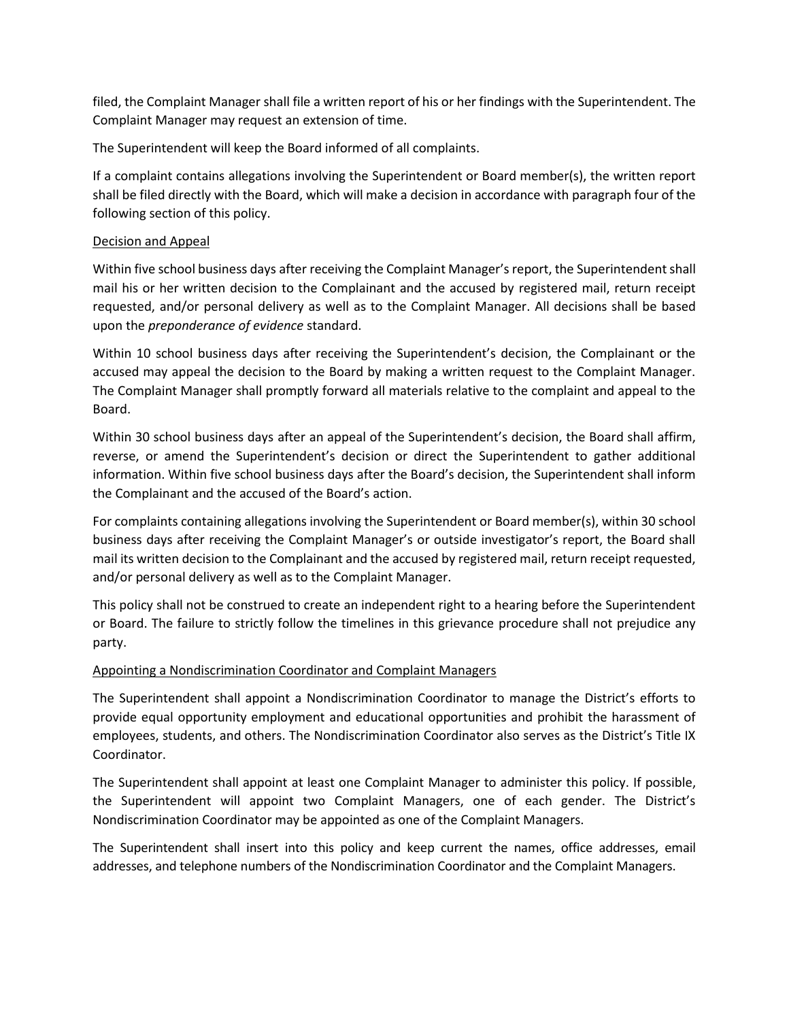filed, the Complaint Manager shall file a written report of his or her findings with the Superintendent. The Complaint Manager may request an extension of time.

The Superintendent will keep the Board informed of all complaints.

If a complaint contains allegations involving the Superintendent or Board member(s), the written report shall be filed directly with the Board, which will make a decision in accordance with paragraph four of the following section of this policy.

#### Decision and Appeal

Within five school business days after receiving the Complaint Manager's report, the Superintendent shall mail his or her written decision to the Complainant and the accused by registered mail, return receipt requested, and/or personal delivery as well as to the Complaint Manager. All decisions shall be based upon the *preponderance of evidence* standard.

Within 10 school business days after receiving the Superintendent's decision, the Complainant or the accused may appeal the decision to the Board by making a written request to the Complaint Manager. The Complaint Manager shall promptly forward all materials relative to the complaint and appeal to the Board.

Within 30 school business days after an appeal of the Superintendent's decision, the Board shall affirm, reverse, or amend the Superintendent's decision or direct the Superintendent to gather additional information. Within five school business days after the Board's decision, the Superintendent shall inform the Complainant and the accused of the Board's action.

For complaints containing allegations involving the Superintendent or Board member(s), within 30 school business days after receiving the Complaint Manager's or outside investigator's report, the Board shall mail its written decision to the Complainant and the accused by registered mail, return receipt requested, and/or personal delivery as well as to the Complaint Manager.

This policy shall not be construed to create an independent right to a hearing before the Superintendent or Board. The failure to strictly follow the timelines in this grievance procedure shall not prejudice any party.

#### Appointing a Nondiscrimination Coordinator and Complaint Managers

The Superintendent shall appoint a Nondiscrimination Coordinator to manage the District's efforts to provide equal opportunity employment and educational opportunities and prohibit the harassment of employees, students, and others. The Nondiscrimination Coordinator also serves as the District's Title IX Coordinator.

The Superintendent shall appoint at least one Complaint Manager to administer this policy. If possible, the Superintendent will appoint two Complaint Managers, one of each gender. The District's Nondiscrimination Coordinator may be appointed as one of the Complaint Managers.

The Superintendent shall insert into this policy and keep current the names, office addresses, email addresses, and telephone numbers of the Nondiscrimination Coordinator and the Complaint Managers.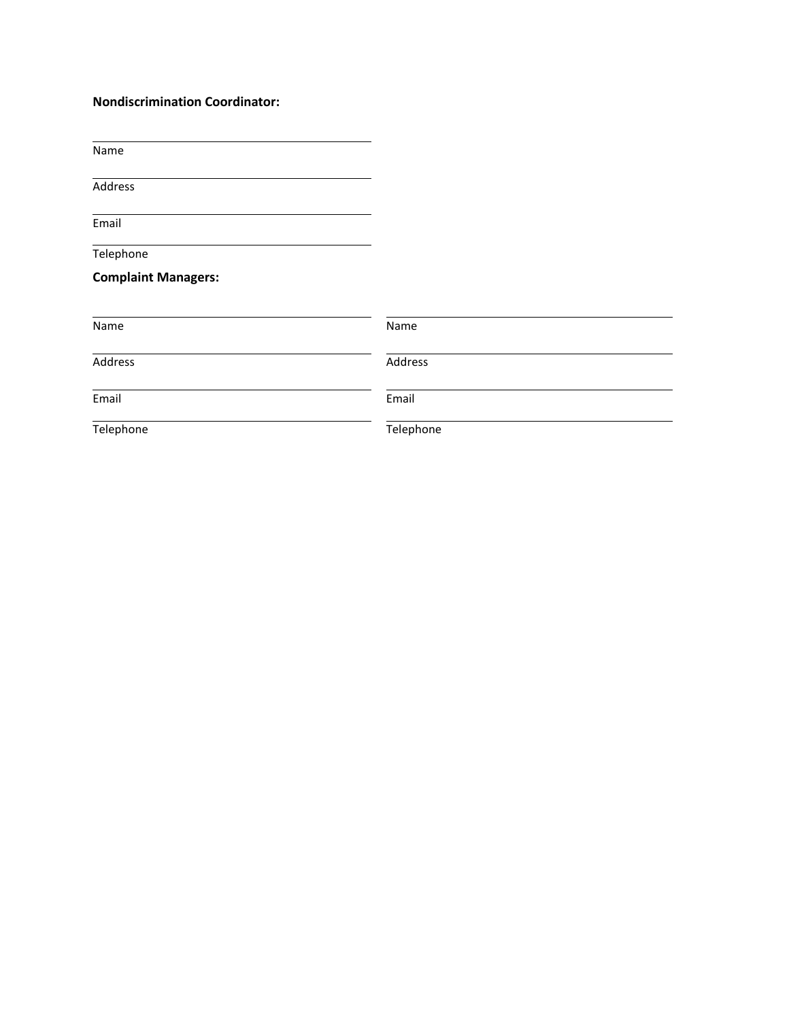## **Nondiscrimination Coordinator:**

Name

**Address** 

Email

**Telephone** 

# **Complaint Managers:**

| Name      | Name      |
|-----------|-----------|
| Address   | Address   |
| Email     | Email     |
| Telephone | Telephone |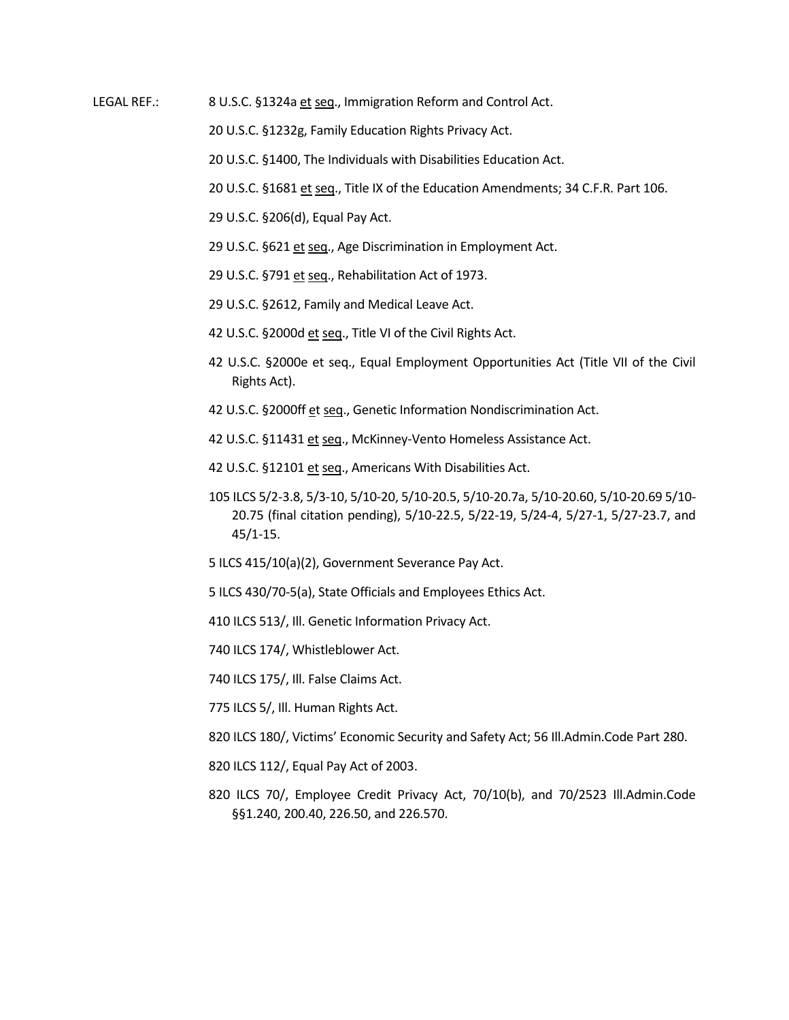LEGAL REF.: 8 U.S.C. §1324a et seq., Immigration Reform and Control Act.

20 U.S.C. §1232g, Family Education Rights Privacy Act.

20 U.S.C. §1400, The Individuals with Disabilities Education Act.

20 U.S.C. §1681 et seq., Title IX of the Education Amendments; 34 C.F.R. Part 106.

29 U.S.C. §206(d), Equal Pay Act.

- 29 U.S.C. §621 et seq., Age Discrimination in Employment Act.
- 29 U.S.C. §791 et seq., Rehabilitation Act of 1973.
- 29 U.S.C. §2612, Family and Medical Leave Act.
- 42 U.S.C. §2000d et seq., Title VI of the Civil Rights Act.
- 42 U.S.C. §2000e et seq., Equal Employment Opportunities Act (Title VII of the Civil Rights Act).
- 42 U.S.C. §2000ff et seq., Genetic Information Nondiscrimination Act.
- 42 U.S.C. §11431 et seq., McKinney-Vento Homeless Assistance Act.
- 42 U.S.C. §12101 et seq., Americans With Disabilities Act.
- 105 ILCS 5/2-3.8, 5/3-10, 5/10-20, 5/10-20.5, 5/10-20.7a, 5/10-20.60, 5/10-20.69 5/10- 20.75 (final citation pending), 5/10-22.5, 5/22-19, 5/24-4, 5/27-1, 5/27-23.7, and 45/1-15.
- 5 ILCS 415/10(a)(2), Government Severance Pay Act.
- 5 ILCS 430/70-5(a), State Officials and Employees Ethics Act.
- 410 ILCS 513/, Ill. Genetic Information Privacy Act.
- 740 ILCS 174/, Whistleblower Act.
- 740 ILCS 175/, Ill. False Claims Act.
- 775 ILCS 5/, Ill. Human Rights Act.
- 820 ILCS 180/, Victims' Economic Security and Safety Act; 56 Ill.Admin.Code Part 280.
- 820 ILCS 112/, Equal Pay Act of 2003.
- 820 ILCS 70/, Employee Credit Privacy Act, 70/10(b), and 70/2523 Ill.Admin.Code §§1.240, 200.40, 226.50, and 226.570.